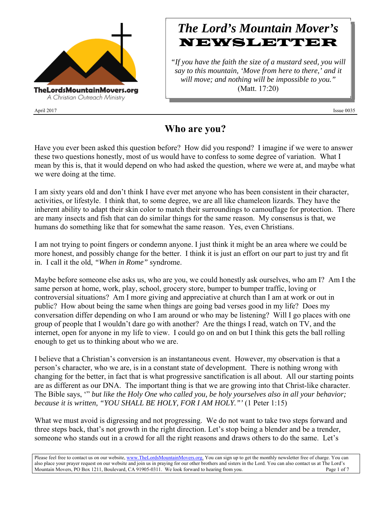

April 2017 Issue 0035

# *The Lord's Mountain Mover's* **NEWSLETTER**

*"If you have the faith the size of a mustard seed, you will say to this mountain, 'Move from here to there,' and it will move; and nothing will be impossible to you."* (Matt. 17:20)

### **Who are you?**

Have you ever been asked this question before? How did you respond? I imagine if we were to answer these two questions honestly, most of us would have to confess to some degree of variation. What I mean by this is, that it would depend on who had asked the question, where we were at, and maybe what we were doing at the time.

I am sixty years old and don't think I have ever met anyone who has been consistent in their character, activities, or lifestyle. I think that, to some degree, we are all like chameleon lizards. They have the inherent ability to adapt their skin color to match their surroundings to camouflage for protection. There are many insects and fish that can do similar things for the same reason. My consensus is that, we humans do something like that for somewhat the same reason. Yes, even Christians.

I am not trying to point fingers or condemn anyone. I just think it might be an area where we could be more honest, and possibly change for the better. I think it is just an effort on our part to just try and fit in. I call it the old, *"When in Rome"* syndrome.

Maybe before someone else asks us, who are you, we could honestly ask ourselves, who am I? Am I the same person at home, work, play, school, grocery store, bumper to bumper traffic, loving or controversial situations? Am I more giving and appreciative at church than I am at work or out in public? How about being the same when things are going bad verses good in my life? Does my conversation differ depending on who I am around or who may be listening? Will I go places with one group of people that I wouldn't dare go with another? Are the things I read, watch on TV, and the internet, open for anyone in my life to view. I could go on and on but I think this gets the ball rolling enough to get us to thinking about who we are.

I believe that a Christian's conversion is an instantaneous event. However, my observation is that a person's character, who we are, is in a constant state of development. There is nothing wrong with changing for the better, in fact that is what progressive sanctification is all about. All our starting points are as different as our DNA. The important thing is that we are growing into that Christ-like character. The Bible says, '" *but like the Holy One who called you, be holy yourselves also in all your behavior; because it is written, "YOU SHALL BE HOLY, FOR I AM HOLY."'* (1 Peter 1:15)

What we must avoid is digressing and not progressing. We do not want to take two steps forward and three steps back, that's not growth in the right direction. Let's stop being a blender and be a trender, someone who stands out in a crowd for all the right reasons and draws others to do the same. Let's

Please feel free to contact us on our website, www.TheLordsMountainMovers.org. You can sign up to get the monthly newsletter free of charge. You can also place your prayer request on our website and join us in praying for our other brothers and sisters in the Lord. You can also contact us at The Lord's Mountain Movers, PO Box 1211, Boulevard, CA 91905-0311. We look forward to hearing from you. Page 1 of 7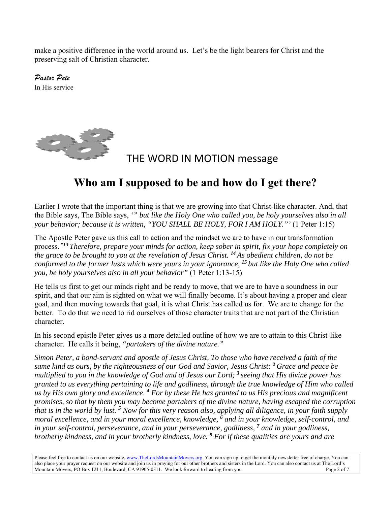make a positive difference in the world around us. Let's be the light bearers for Christ and the preserving salt of Christian character.

*Pastor Pete*  In His service



### THE WORD IN MOTION message

## **Who am I supposed to be and how do I get there?**

Earlier I wrote that the important thing is that we are growing into that Christ-like character. And, that the Bible says, The Bible says, *'" but like the Holy One who called you, be holy yourselves also in all your behavior; because it is written, "YOU SHALL BE HOLY, FOR I AM HOLY."'* (1 Peter 1:15)

The Apostle Peter gave us this call to action and the mindset we are to have in our transformation process. *"13 Therefore, prepare your minds for action, keep sober in spirit, fix your hope completely on the grace to be brought to you at the revelation of Jesus Christ. <sup>14</sup>As obedient children, do not be conformed to the former lusts which were yours in your ignorance, <sup>15</sup>but like the Holy One who called you, be holy yourselves also in all your behavior"* (1 Peter 1:13-15)

He tells us first to get our minds right and be ready to move, that we are to have a soundness in our spirit, and that our aim is sighted on what we will finally become. It's about having a proper and clear goal, and then moving towards that goal, it is what Christ has called us for. We are to change for the better. To do that we need to rid ourselves of those character traits that are not part of the Christian character.

In his second epistle Peter gives us a more detailed outline of how we are to attain to this Christ-like character. He calls it being, *"partakers of the divine nature."*

*Simon Peter, a bond-servant and apostle of Jesus Christ, To those who have received a faith of the same kind as ours, by the righteousness of our God and Savior, Jesus Christ: <sup>2</sup>Grace and peace be multiplied to you in the knowledge of God and of Jesus our Lord; <sup>3</sup>seeing that His divine power has granted to us everything pertaining to life and godliness, through the true knowledge of Him who called us by His own glory and excellence*. *<sup>4</sup> For by these He has granted to us His precious and magnificent promises, so that by them you may become partakers of the divine nature, having escaped the corruption* that is in the world by lust. <sup>5</sup> Now for this very reason also, applying all diligence, in your faith supply moral excellence, and in your moral excellence, knowledge, <sup>6</sup> and in your knowledge, self-control, and *in your self-control, perseverance, and in your perseverance, godliness, <sup>7</sup> and in your godliness, brotherly kindness, and in your brotherly kindness, love. <sup>8</sup> For if these qualities are yours and are* 

Please feel free to contact us on our website, www.TheLordsMountainMovers.org. You can sign up to get the monthly newsletter free of charge. You can also place your prayer request on our website and join us in praying for our other brothers and sisters in the Lord. You can also contact us at The Lord's Mountain Movers, PO Box 1211, Boulevard, CA 91905-0311. We look forward to hearing from you. Page 2 of 7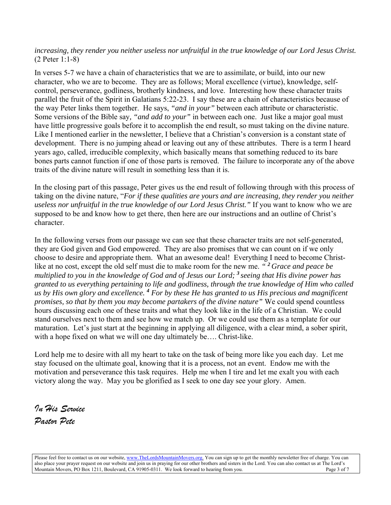*increasing, they render you neither useless nor unfruitful in the true knowledge of our Lord Jesus Christ.* (2 Peter 1:1-8)

In verses 5-7 we have a chain of characteristics that we are to assimilate, or build, into our new character, who we are to become. They are as follows; Moral excellence (virtue), knowledge, selfcontrol, perseverance, godliness, brotherly kindness, and love. Interesting how these character traits parallel the fruit of the Spirit in Galatians 5:22-23. I say these are a chain of characteristics because of the way Peter links them together. He says, *"and in your"* between each attribute or characteristic. Some versions of the Bible say*, "and add to your"* in between each one. Just like a major goal must have little progressive goals before it to accomplish the end result, so must taking on the divine nature. Like I mentioned earlier in the newsletter, I believe that a Christian's conversion is a constant state of development. There is no jumping ahead or leaving out any of these attributes. There is a term I heard years ago, called, irreducible complexity, which basically means that something reduced to its bare bones parts cannot function if one of those parts is removed. The failure to incorporate any of the above traits of the divine nature will result in something less than it is.

In the closing part of this passage, Peter gives us the end result of following through with this process of taking on the divine nature, "*For if these qualities are yours and are increasing, they render you neither useless nor unfruitful in the true knowledge of our Lord Jesus Christ."* If you want to know who we are supposed to be and know how to get there, then here are our instructions and an outline of Christ's character.

In the following verses from our passage we can see that these character traits are not self-generated, they are God given and God empowered. They are also promises that we can count on if we only choose to desire and appropriate them. What an awesome deal! Everything I need to become Christlike at no cost, except the old self must die to make room for the new me. *" <sup>2</sup>Grace and peace be multiplied to you in the knowledge of God and of Jesus our Lord; <sup>3</sup>seeing that His divine power has granted to us everything pertaining to life and godliness, through the true knowledge of Him who called us by His own glory and excellence. <sup>4</sup> For by these He has granted to us His precious and magnificent promises, so that by them you may become partakers of the divine nature"* We could spend countless hours discussing each one of these traits and what they look like in the life of a Christian. We could stand ourselves next to them and see how we match up. Or we could use them as a template for our maturation. Let's just start at the beginning in applying all diligence, with a clear mind, a sober spirit, with a hope fixed on what we will one day ultimately be…. Christ-like.

Lord help me to desire with all my heart to take on the task of being more like you each day. Let me stay focused on the ultimate goal, knowing that it is a process, not an event. Endow me with the motivation and perseverance this task requires. Help me when I tire and let me exalt you with each victory along the way. May you be glorified as I seek to one day see your glory. Amen.

*In His Service Pastor Pete* 

Please feel free to contact us on our website, www.TheLordsMountainMovers.org. You can sign up to get the monthly newsletter free of charge. You can also place your prayer request on our website and join us in praying for our other brothers and sisters in the Lord. You can also contact us at The Lord's Mountain Movers, PO Box 1211, Boulevard, CA 91905-0311. We look forward to hearing from you. Page 3 of 7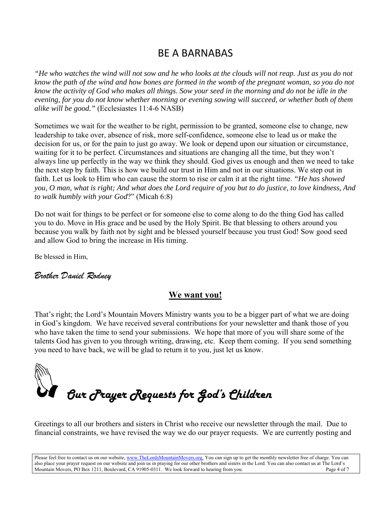#### BE A BARNABAS

*"He who watches the wind will not sow and he who looks at the clouds will not reap. Just as you do not know the path of the wind and how bones are formed in the womb of the pregnant woman, so you do not know the activity of God who makes all things. Sow your seed in the morning and do not be idle in the evening, for you do not know whether morning or evening sowing will succeed, or whether both of them alike will be good."* (Ecclesiastes 11:4-6 NASB)

Sometimes we wait for the weather to be right, permission to be granted, someone else to change, new leadership to take over, absence of risk, more self-confidence, someone else to lead us or make the decision for us, or for the pain to just go away. We look or depend upon our situation or circumstance, waiting for it to be perfect. Circumstances and situations are changing all the time, but they won't always line up perfectly in the way we think they should. God gives us enough and then we need to take the next step by faith. This is how we build our trust in Him and not in our situations. We step out in faith. Let us look to Him who can cause the storm to rise or calm it at the right time. *"He has showed you, O man, what is right; And what does the Lord require of you but to do justice, to love kindness, And to walk humbly with your God*?" (Micah 6:8)

Do not wait for things to be perfect or for someone else to come along to do the thing God has called you to do. Move in His grace and be used by the Holy Spirit. Be that blessing to others around you because you walk by faith not by sight and be blessed yourself because you trust God! Sow good seed and allow God to bring the increase in His timing.

Be blessed in Him,

#### *Brother Daniel Rodney*

#### **We want you!**

That's right; the Lord's Mountain Movers Ministry wants you to be a bigger part of what we are doing in God's kingdom. We have received several contributions for your newsletter and thank those of you who have taken the time to send your submissions. We hope that more of you will share some of the talents God has given to you through writing, drawing, etc. Keep them coming. If you send something you need to have back, we will be glad to return it to you, just let us know.



Greetings to all our brothers and sisters in Christ who receive our newsletter through the mail. Due to financial constraints, we have revised the way we do our prayer requests. We are currently posting and

Please feel free to contact us on our website, www.TheLordsMountainMovers.org. You can sign up to get the monthly newsletter free of charge. You can also place your prayer request on our website and join us in praying for our other brothers and sisters in the Lord. You can also contact us at The Lord's Mountain Movers, PO Box 1211, Boulevard, CA 91905-0311. We look forward to hearing from you. Page 4 of 7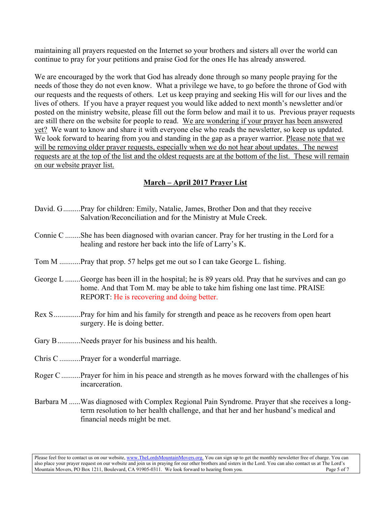maintaining all prayers requested on the Internet so your brothers and sisters all over the world can continue to pray for your petitions and praise God for the ones He has already answered.

We are encouraged by the work that God has already done through so many people praying for the needs of those they do not even know. What a privilege we have, to go before the throne of God with our requests and the requests of others. Let us keep praying and seeking His will for our lives and the lives of others. If you have a prayer request you would like added to next month's newsletter and/or posted on the ministry website, please fill out the form below and mail it to us. Previous prayer requests are still there on the website for people to read. We are wondering if your prayer has been answered yet? We want to know and share it with everyone else who reads the newsletter, so keep us updated. We look forward to hearing from you and standing in the gap as a prayer warrior. Please note that we will be removing older prayer requests, especially when we do not hear about updates. The newest requests are at the top of the list and the oldest requests are at the bottom of the list. These will remain on our website prayer list.

#### **March – April 2017 Prayer List**

- David. G .........Pray for children: Emily, Natalie, James, Brother Don and that they receive Salvation/Reconciliation and for the Ministry at Mule Creek.
- Connie C ........She has been diagnosed with ovarian cancer. Pray for her trusting in the Lord for a healing and restore her back into the life of Larry's K.
- Tom M ...........Pray that prop. 57 helps get me out so I can take George L. fishing.
- George L ........George has been ill in the hospital; he is 89 years old. Pray that he survives and can go home. And that Tom M. may be able to take him fishing one last time. PRAISE REPORT: He is recovering and doing better.
- Rex S ..............Pray for him and his family for strength and peace as he recovers from open heart surgery. He is doing better.
- Gary B................ Needs prayer for his business and his health.
- Chris C ...........Prayer for a wonderful marriage.
- Roger C ..........Prayer for him in his peace and strength as he moves forward with the challenges of his incarceration.
- Barbara M ......Was diagnosed with Complex Regional Pain Syndrome. Prayer that she receives a longterm resolution to her health challenge, and that her and her husband's medical and financial needs might be met.

Please feel free to contact us on our website, www.TheLordsMountainMovers.org. You can sign up to get the monthly newsletter free of charge. You can also place your prayer request on our website and join us in praying for our other brothers and sisters in the Lord. You can also contact us at The Lord's Mountain Movers, PO Box 1211, Boulevard, CA 91905-0311. We look forward to hearing from you. Page 5 of 7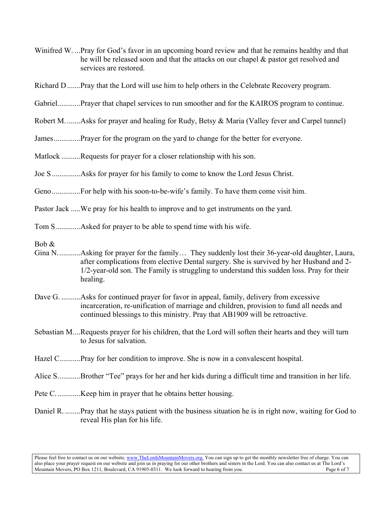- Winifred W. ...Pray for God's favor in an upcoming board review and that he remains healthy and that he will be released soon and that the attacks on our chapel & pastor get resolved and services are restored.
- Richard D .......Pray that the Lord will use him to help others in the Celebrate Recovery program.
- Gabriel............Prayer that chapel services to run smoother and for the KAIROS program to continue.
- Robert M. .......Asks for prayer and healing for Rudy, Betsy & Maria (Valley fever and Carpel tunnel)
- James................Prayer for the program on the yard to change for the better for everyone.
- Matlock ..........Requests for prayer for a closer relationship with his son.
- Joe S ...............Asks for prayer for his family to come to know the Lord Jesus Christ.
- Geno ...............For help with his soon-to-be-wife's family. To have them come visit him.
- Pastor Jack .....We pray for his health to improve and to get instruments on the yard.
- Tom S .............Asked for prayer to be able to spend time with his wife.
- Bob &
- Gina N. ...........Asking for prayer for the family… They suddenly lost their 36-year-old daughter, Laura, after complications from elective Dental surgery. She is survived by her Husband and 2- 1/2-year-old son. The Family is struggling to understand this sudden loss. Pray for their healing.
- Dave G. ...........Asks for continued prayer for favor in appeal, family, delivery from excessive incarceration, re-unification of marriage and children, provision to fund all needs and continued blessings to this ministry. Pray that AB1909 will be retroactive.
- Sebastian M. ...Requests prayer for his children, that the Lord will soften their hearts and they will turn to Jesus for salvation.
- Hazel C............Pray for her condition to improve. She is now in a convalescent hospital.
- Alice S. ...........Brother "Tee" prays for her and her kids during a difficult time and transition in her life.
- Pete C. ............Keep him in prayer that he obtains better housing.
- Daniel R. ........Pray that he stays patient with the business situation he is in right now, waiting for God to reveal His plan for his life.

Please feel free to contact us on our website, www.TheLordsMountainMovers.org. You can sign up to get the monthly newsletter free of charge. You can also place your prayer request on our website and join us in praying for our other brothers and sisters in the Lord. You can also contact us at The Lord's Mountain Movers, PO Box 1211, Boulevard, CA 91905-0311. We look forward to hearing from you. Page 6 of 7